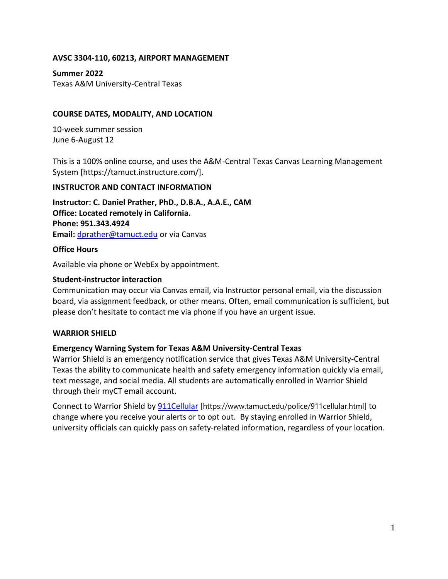### **AVSC 3304-110, 60213, AIRPORT MANAGEMENT**

**Summer 2022** Texas A&M University-Central Texas

### **COURSE DATES, MODALITY, AND LOCATION**

10-week summer session June 6-August 12

This is a 100% online course, and uses the A&M-Central Texas Canvas Learning Management System [https://tamuct.instructure.com/].

### **INSTRUCTOR AND CONTACT INFORMATION**

**Instructor: C. Daniel Prather, PhD., D.B.A., A.A.E., CAM Office: Located remotely in California. Phone: 951.343.4924 Email:** [dprather@tamuct.edu](mailto:dprather@tamuct.edu) or via Canvas

### **Office Hours**

Available via phone or WebEx by appointment.

#### **Student-instructor interaction**

Communication may occur via Canvas email, via Instructor personal email, via the discussion board, via assignment feedback, or other means. Often, email communication is sufficient, but please don't hesitate to contact me via phone if you have an urgent issue.

### **WARRIOR SHIELD**

### **Emergency Warning System for Texas A&M University-Central Texas**

Warrior Shield is an emergency notification service that gives Texas A&M University-Central Texas the ability to communicate health and safety emergency information quickly via email, text message, and social media. All students are automatically enrolled in Warrior Shield through their myCT email account.

Connect to Warrior Shield b[y 911Cellular](https://www.tamuct.edu/police/911cellular.html) [<https://www.tamuct.edu/police/911cellular.html>] to change where you receive your alerts or to opt out. By staying enrolled in Warrior Shield, university officials can quickly pass on safety-related information, regardless of your location.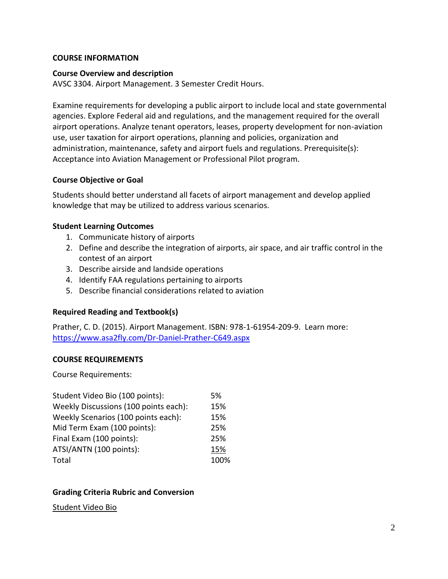#### **COURSE INFORMATION**

#### **Course Overview and description**

AVSC 3304. Airport Management. 3 Semester Credit Hours.

Examine requirements for developing a public airport to include local and state governmental agencies. Explore Federal aid and regulations, and the management required for the overall airport operations. Analyze tenant operators, leases, property development for non-aviation use, user taxation for airport operations, planning and policies, organization and administration, maintenance, safety and airport fuels and regulations. Prerequisite(s): Acceptance into Aviation Management or Professional Pilot program.

### **Course Objective or Goal**

Students should better understand all facets of airport management and develop applied knowledge that may be utilized to address various scenarios.

### **Student Learning Outcomes**

- 1. Communicate history of airports
- 2. Define and describe the integration of airports, air space, and air traffic control in the contest of an airport
- 3. Describe airside and landside operations
- 4. Identify FAA regulations pertaining to airports
- 5. Describe financial considerations related to aviation

### **Required Reading and Textbook(s)**

Prather, C. D. (2015). Airport Management. ISBN: 978-1-61954-209-9. Learn more: <https://www.asa2fly.com/Dr-Daniel-Prather-C649.aspx>

### **COURSE REQUIREMENTS**

Course Requirements:

| Student Video Bio (100 points):       | 5%   |
|---------------------------------------|------|
| Weekly Discussions (100 points each): | 15%  |
| Weekly Scenarios (100 points each):   | 15%  |
| Mid Term Exam (100 points):           | 25%  |
| Final Exam (100 points):              | 25%  |
| ATSI/ANTN (100 points):               | 15%  |
| Total                                 | 100% |

### **Grading Criteria Rubric and Conversion**

#### Student Video Bio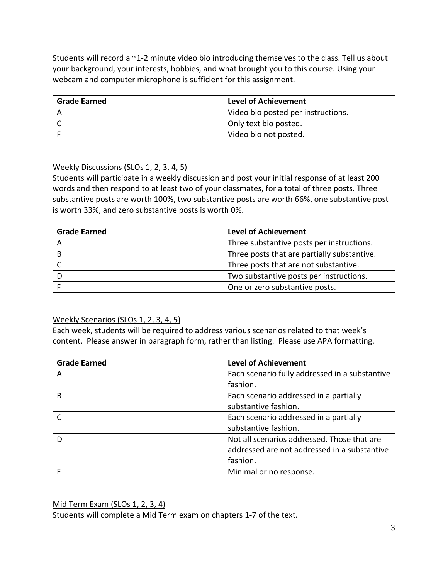Students will record a ~1-2 minute video bio introducing themselves to the class. Tell us about your background, your interests, hobbies, and what brought you to this course. Using your webcam and computer microphone is sufficient for this assignment.

| <b>Grade Earned</b> | <b>Level of Achievement</b>        |
|---------------------|------------------------------------|
|                     | Video bio posted per instructions. |
|                     | Only text bio posted.              |
|                     | Video bio not posted.              |

# Weekly Discussions (SLOs 1, 2, 3, 4, 5)

Students will participate in a weekly discussion and post your initial response of at least 200 words and then respond to at least two of your classmates, for a total of three posts. Three substantive posts are worth 100%, two substantive posts are worth 66%, one substantive post is worth 33%, and zero substantive posts is worth 0%.

| <b>Grade Earned</b> | <b>Level of Achievement</b>                 |
|---------------------|---------------------------------------------|
|                     | Three substantive posts per instructions.   |
|                     | Three posts that are partially substantive. |
|                     | Three posts that are not substantive.       |
|                     | Two substantive posts per instructions.     |
|                     | One or zero substantive posts.              |

# Weekly Scenarios (SLOs 1, 2, 3, 4, 5)

Each week, students will be required to address various scenarios related to that week's content. Please answer in paragraph form, rather than listing. Please use APA formatting.

| <b>Grade Earned</b> | <b>Level of Achievement</b>                    |
|---------------------|------------------------------------------------|
| А                   | Each scenario fully addressed in a substantive |
|                     | fashion.                                       |
| B                   | Each scenario addressed in a partially         |
|                     | substantive fashion.                           |
|                     | Each scenario addressed in a partially         |
|                     | substantive fashion.                           |
|                     | Not all scenarios addressed. Those that are    |
|                     | addressed are not addressed in a substantive   |
|                     | fashion.                                       |
|                     | Minimal or no response.                        |

# Mid Term Exam (SLOs 1, 2, 3, 4)

Students will complete a Mid Term exam on chapters 1-7 of the text.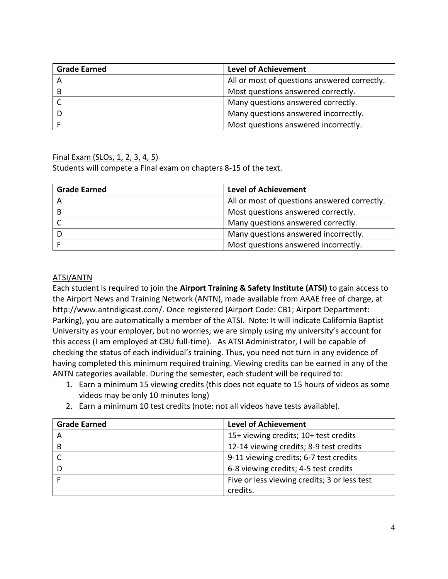| <b>Grade Earned</b> | <b>Level of Achievement</b>                  |
|---------------------|----------------------------------------------|
|                     | All or most of questions answered correctly. |
|                     | Most questions answered correctly.           |
|                     | Many questions answered correctly.           |
|                     | Many questions answered incorrectly.         |
|                     | Most questions answered incorrectly.         |

### Final Exam (SLOs, 1, 2, 3, 4, 5)

Students will compete a Final exam on chapters 8-15 of the text.

| <b>Grade Earned</b> | <b>Level of Achievement</b>                  |
|---------------------|----------------------------------------------|
| A                   | All or most of questions answered correctly. |
|                     | Most questions answered correctly.           |
|                     | Many questions answered correctly.           |
|                     | Many questions answered incorrectly.         |
|                     | Most questions answered incorrectly.         |

### ATSI/ANTN

Each student is required to join the **Airport Training & Safety Institute (ATSI)** to gain access to the Airport News and Training Network (ANTN), made available from AAAE free of charge, at http://www.antndigicast.com/. Once registered (Airport Code: CB1; Airport Department: Parking), you are automatically a member of the ATSI. Note: It will indicate California Baptist University as your employer, but no worries; we are simply using my university's account for this access (I am employed at CBU full-time). As ATSI Administrator, I will be capable of checking the status of each individual's training. Thus, you need not turn in any evidence of having completed this minimum required training. Viewing credits can be earned in any of the ANTN categories available. During the semester, each student will be required to:

- 1. Earn a minimum 15 viewing credits (this does not equate to 15 hours of videos as some videos may be only 10 minutes long)
- 2. Earn a minimum 10 test credits (note: not all videos have tests available).

| <b>Grade Earned</b> | <b>Level of Achievement</b>                  |
|---------------------|----------------------------------------------|
| A                   | 15+ viewing credits; 10+ test credits        |
| B                   | 12-14 viewing credits; 8-9 test credits      |
|                     | 9-11 viewing credits; 6-7 test credits       |
| D                   | 6-8 viewing credits; 4-5 test credits        |
|                     | Five or less viewing credits; 3 or less test |
|                     | credits.                                     |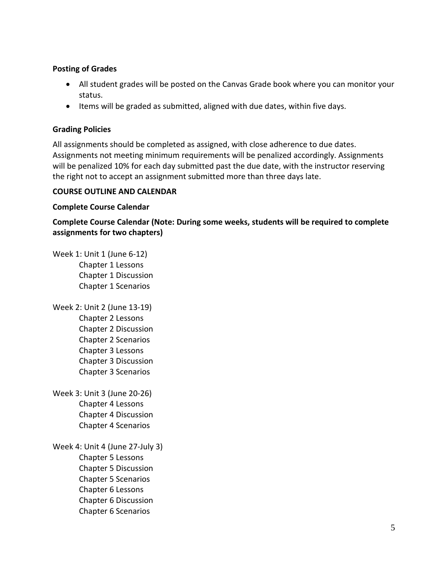### **Posting of Grades**

- All student grades will be posted on the Canvas Grade book where you can monitor your status.
- Items will be graded as submitted, aligned with due dates, within five days.

### **Grading Policies**

All assignments should be completed as assigned, with close adherence to due dates. Assignments not meeting minimum requirements will be penalized accordingly. Assignments will be penalized 10% for each day submitted past the due date, with the instructor reserving the right not to accept an assignment submitted more than three days late.

### **COURSE OUTLINE AND CALENDAR**

### **Complete Course Calendar**

**Complete Course Calendar (Note: During some weeks, students will be required to complete assignments for two chapters)**

Week 1: Unit 1 (June 6-12) Chapter 1 Lessons Chapter 1 Discussion Chapter 1 Scenarios

- Week 2: Unit 2 (June 13-19) Chapter 2 Lessons Chapter 2 Discussion Chapter 2 Scenarios Chapter 3 Lessons Chapter 3 Discussion Chapter 3 Scenarios
- Week 3: Unit 3 (June 20-26) Chapter 4 Lessons Chapter 4 Discussion Chapter 4 Scenarios

Week 4: Unit 4 (June 27-July 3) Chapter 5 Lessons Chapter 5 Discussion Chapter 5 Scenarios Chapter 6 Lessons Chapter 6 Discussion Chapter 6 Scenarios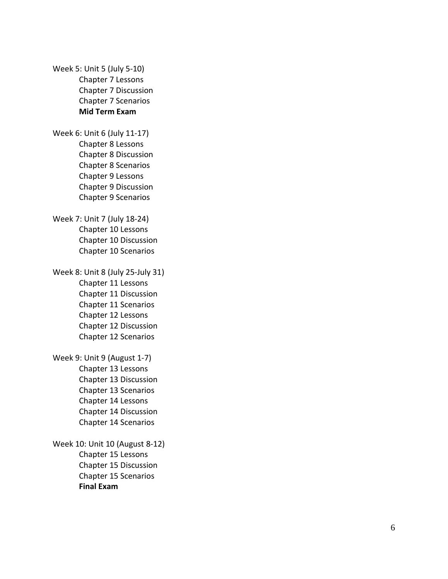Week 5: Unit 5 (July 5 - 1 0 ) Chapter 7 Lessons Chapter 7 Discussion Chapter 7 Scenarios **Mid Term Exam**

Week 6: Unit 6 (July 11-17) Chapter 8 Lessons Chapter 8 Discussion Chapter 8 Scenarios Chapter 9 Lessons Chapter 9 Discussion Chapter 9 Scenarios

Week 7: Unit 7 (July 1 8 - 2 4 ) Chapter 10 Lessons Chapter 10 Discussion Chapter 10 Scenarios

Week 8: Unit 8 (July 2 5 -July 31 ) Chapter 11 Lessons Chapter 11 Discussion Chapter 11 Scenarios Chapter 12 Lessons Chapter 12 Discussion Chapter 12 Scenarios

Week 9: Unit 9 (August 1 - 7 ) Chapter 13 Lessons Chapter 13 Discussion Chapter 13 Scenarios Chapter 14 Lessons Chapter 14 Discussion Chapter 14 Scenarios

Week 10: Unit 10 (August 8 - 1 2 ) Chapter 15 Lessons Chapter 15 Discussion Chapter 15 Scenarios **Final Exam**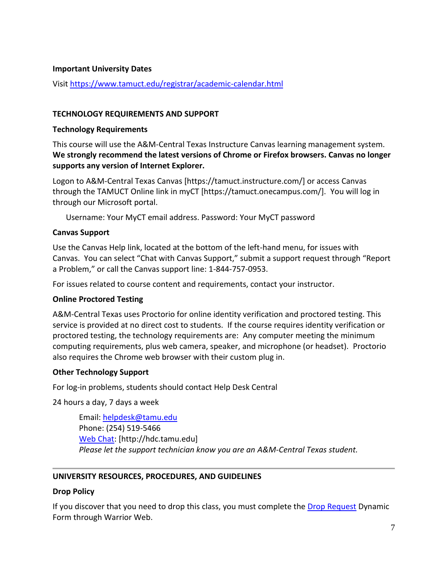#### **Important University Dates**

Visi[t https://www.tamuct.edu/registrar/academic-calendar.html](https://www.tamuct.edu/registrar/academic-calendar.html)

#### **TECHNOLOGY REQUIREMENTS AND SUPPORT**

#### **Technology Requirements**

This course will use the A&M-Central Texas Instructure Canvas learning management system. **We strongly recommend the latest versions of Chrome or Firefox browsers. Canvas no longer supports any version of Internet Explorer.**

Logon to A&M-Central Texas Canvas [https://tamuct.instructure.com/] or access Canvas through the TAMUCT Online link in myCT [https://tamuct.onecampus.com/]. You will log in through our Microsoft portal.

Username: Your MyCT email address. Password: Your MyCT password

#### **Canvas Support**

Use the Canvas Help link, located at the bottom of the left-hand menu, for issues with Canvas. You can select "Chat with Canvas Support," submit a support request through "Report a Problem," or call the Canvas support line: 1-844-757-0953.

For issues related to course content and requirements, contact your instructor.

### **Online Proctored Testing**

A&M-Central Texas uses Proctorio for online identity verification and proctored testing. This service is provided at no direct cost to students. If the course requires identity verification or proctored testing, the technology requirements are: Any computer meeting the minimum computing requirements, plus web camera, speaker, and microphone (or headset). Proctorio also requires the Chrome web browser with their custom plug in.

### **Other Technology Support**

For log-in problems, students should contact Help Desk Central

24 hours a day, 7 days a week

Email: [helpdesk@tamu.edu](mailto:helpdesk@tamu.edu) Phone: (254) 519-5466 [Web Chat:](http://hdc.tamu.edu/) [http://hdc.tamu.edu] *Please let the support technician know you are an A&M-Central Texas student.*

### **UNIVERSITY RESOURCES, PROCEDURES, AND GUIDELINES**

#### **Drop Policy**

If you discover that you need to drop this class, you must complete the [Drop Request](https://dynamicforms.ngwebsolutions.com/casAuthentication.ashx?InstID=eaed95b9-f2be-45f3-a37d-46928168bc10&targetUrl=https%3A%2F%2Fdynamicforms.ngwebsolutions.com%2FSubmit%2FForm%2FStart%2F53b8369e-0502-4f36-be43-f02a4202f612) Dynamic Form through Warrior Web.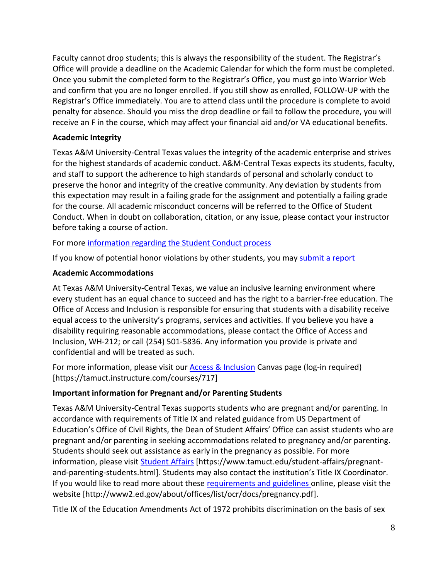Faculty cannot drop students; this is always the responsibility of the student. The Registrar's Office will provide a deadline on the Academic Calendar for which the form must be completed. Once you submit the completed form to the Registrar's Office, you must go into Warrior Web and confirm that you are no longer enrolled. If you still show as enrolled, FOLLOW-UP with the Registrar's Office immediately. You are to attend class until the procedure is complete to avoid penalty for absence. Should you miss the drop deadline or fail to follow the procedure, you will receive an F in the course, which may affect your financial aid and/or VA educational benefits.

# **Academic Integrity**

Texas A&M University-Central Texas values the integrity of the academic enterprise and strives for the highest standards of academic conduct. A&M-Central Texas expects its students, faculty, and staff to support the adherence to high standards of personal and scholarly conduct to preserve the honor and integrity of the creative community. Any deviation by students from this expectation may result in a failing grade for the assignment and potentially a failing grade for the course. All academic misconduct concerns will be referred to the Office of Student Conduct. When in doubt on collaboration, citation, or any issue, please contact your instructor before taking a course of action.

For more [information](https://nam04.safelinks.protection.outlook.com/?url=https%3A%2F%2Fwww.tamuct.edu%2Fstudent-affairs%2Fstudent-conduct.html&data=04%7C01%7Clisa.bunkowski%40tamuct.edu%7Ccfb6e486f24745f53e1a08d910055cb2%7C9eed4e3000f744849ff193ad8005acec%7C0%7C0%7C637558437485252160%7CUnknown%7CTWFpbGZsb3d8eyJWIjoiMC4wLjAwMDAiLCJQIjoiV2luMzIiLCJBTiI6Ik1haWwiLCJXVCI6Mn0%3D%7C1000&sdata=yjftDEVHvLX%2FhM%2FcFU0B99krV1RgEWR%2BJ%2BhvtoR6TYk%3D&reserved=0) regarding the Student Conduct process

If you know of potential honor violations by other students, you may [submit](https://nam04.safelinks.protection.outlook.com/?url=https%3A%2F%2Fcm.maxient.com%2Freportingform.php%3FTAMUCentralTexas%26layout_id%3D0&data=04%7C01%7Clisa.bunkowski%40tamuct.edu%7Ccfb6e486f24745f53e1a08d910055cb2%7C9eed4e3000f744849ff193ad8005acec%7C0%7C0%7C637558437485262157%7CUnknown%7CTWFpbGZsb3d8eyJWIjoiMC4wLjAwMDAiLCJQIjoiV2luMzIiLCJBTiI6Ik1haWwiLCJXVCI6Mn0%3D%7C1000&sdata=CXGkOa6uPDPX1IMZ87z3aZDq2n91xfHKu4MMS43Ejjk%3D&reserved=0) a report

# **Academic Accommodations**

At Texas A&M University-Central Texas, we value an inclusive learning environment where every student has an equal chance to succeed and has the right to a barrier-free education. The Office of Access and Inclusion is responsible for ensuring that students with a disability receive equal access to the university's programs, services and activities. If you believe you have a disability requiring reasonable accommodations, please contact the Office of Access and Inclusion, WH-212; or call (254) 501-5836. Any information you provide is private and confidential and will be treated as such.

For more information, please visit our **Access & Inclusion** Canvas page (log-in required) [https://tamuct.instructure.com/courses/717]

# **Important information for Pregnant and/or Parenting Students**

Texas A&M University-Central Texas supports students who are pregnant and/or parenting. In accordance with requirements of Title IX and related guidance from US Department of Education's Office of Civil Rights, the Dean of Student Affairs' Office can assist students who are pregnant and/or parenting in seeking accommodations related to pregnancy and/or parenting. Students should seek out assistance as early in the pregnancy as possible. For more information, please visit [Student Affairs](https://www.tamuct.edu/student-affairs/pregnant-and-parenting-students.html) [https://www.tamuct.edu/student-affairs/pregnantand-parenting-students.html]. Students may also contact the institution's Title IX Coordinator. If you would like to read more about these [requirements and guidelines](http://www2.ed.gov/about/offices/list/ocr/docs/pregnancy.pdf) online, please visit the website [http://www2.ed.gov/about/offices/list/ocr/docs/pregnancy.pdf].

Title IX of the Education Amendments Act of 1972 prohibits discrimination on the basis of sex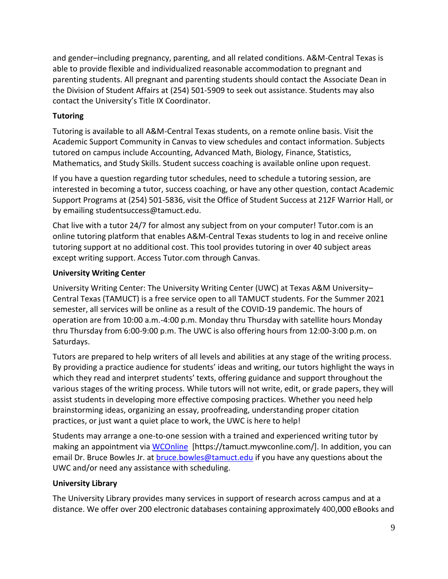and gender–including pregnancy, parenting, and all related conditions. A&M-Central Texas is able to provide flexible and individualized reasonable accommodation to pregnant and parenting students. All pregnant and parenting students should contact the Associate Dean in the Division of Student Affairs at (254) 501-5909 to seek out assistance. Students may also contact the University's Title IX Coordinator.

# **Tutoring**

Tutoring is available to all A&M-Central Texas students, on a remote online basis. Visit the Academic Support Community in Canvas to view schedules and contact information. Subjects tutored on campus include Accounting, Advanced Math, Biology, Finance, Statistics, Mathematics, and Study Skills. Student success coaching is available online upon request.

If you have a question regarding tutor schedules, need to schedule a tutoring session, are interested in becoming a tutor, success coaching, or have any other question, contact Academic Support Programs at (254) 501-5836, visit the Office of Student Success at 212F Warrior Hall, or by emailing studentsuccess@tamuct.edu.

Chat live with a tutor 24/7 for almost any subject from on your computer! Tutor.com is an online tutoring platform that enables A&M-Central Texas students to log in and receive online tutoring support at no additional cost. This tool provides tutoring in over 40 subject areas except writing support. Access Tutor.com through Canvas.

# **University Writing Center**

University Writing Center: The University Writing Center (UWC) at Texas A&M University– Central Texas (TAMUCT) is a free service open to all TAMUCT students. For the Summer 2021 semester, all services will be online as a result of the COVID-19 pandemic. The hours of operation are from 10:00 a.m.-4:00 p.m. Monday thru Thursday with satellite hours Monday thru Thursday from 6:00-9:00 p.m. The UWC is also offering hours from 12:00-3:00 p.m. on Saturdays.

Tutors are prepared to help writers of all levels and abilities at any stage of the writing process. By providing a practice audience for students' ideas and writing, our tutors highlight the ways in which they read and interpret students' texts, offering guidance and support throughout the various stages of the writing process. While tutors will not write, edit, or grade papers, they will assist students in developing more effective composing practices. Whether you need help brainstorming ideas, organizing an essay, proofreading, understanding proper citation practices, or just want a quiet place to work, the UWC is here to help!

Students may arrange a one-to-one session with a trained and experienced writing tutor by making an appointment via [WCOnline](https://tamuct.mywconline.com/) [https://tamuct.mywconline.com/]. In addition, you can email Dr. Bruce Bowles Jr. at [bruce.bowles@tamuct.edu](mailto:bruce.bowles@tamuct.edu) if you have any questions about the UWC and/or need any assistance with scheduling.

# **University Library**

The University Library provides many services in support of research across campus and at a distance. We offer over 200 electronic databases containing approximately 400,000 eBooks and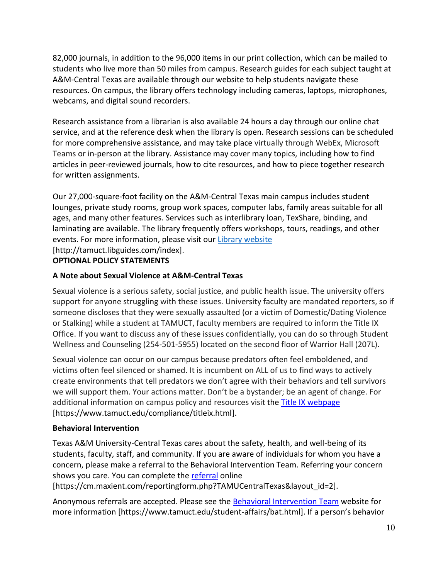82,000 journals, in addition to the 96,000 items in our print collection, which can be mailed to students who live more than 50 miles from campus. Research guides for each subject taught at A&M-Central Texas are available through our website to help students navigate these resources. On campus, the library offers technology including cameras, laptops, microphones, webcams, and digital sound recorders.

Research assistance from a librarian is also available 24 hours a day through our online chat service, and at the reference desk when the library is open. Research sessions can be scheduled for more comprehensive assistance, and may take place virtually through WebEx, Microsoft Teams or in-person at the library. Assistance may cover many topics, including how to find articles in peer-reviewed journals, how to cite resources, and how to piece together research for written assignments.

Our 27,000-square-foot facility on the A&M-Central Texas main campus includes student lounges, private study rooms, group work spaces, computer labs, family areas suitable for all ages, and many other features. Services such as interlibrary loan, TexShare, binding, and laminating are available. The library frequently offers workshops, tours, readings, and other events. For more information, please visit our Library [website](https://nam04.safelinks.protection.outlook.com/?url=https%3A%2F%2Ftamuct.libguides.com%2Findex&data=04%7C01%7Clisa.bunkowski%40tamuct.edu%7C7d8489e8839a4915335f08d916f067f2%7C9eed4e3000f744849ff193ad8005acec%7C0%7C0%7C637566044056484222%7CUnknown%7CTWFpbGZsb3d8eyJWIjoiMC4wLjAwMDAiLCJQIjoiV2luMzIiLCJBTiI6Ik1haWwiLCJXVCI6Mn0%3D%7C1000&sdata=2R755V6rcIyedGrd4Os5rkgn1PvhHKU3kUV1vBKiHFo%3D&reserved=0) [http://tamuct.libguides.com/index].

# **OPTIONAL POLICY STATEMENTS**

# **A Note about Sexual Violence at A&M-Central Texas**

Sexual violence is a serious safety, social justice, and public health issue. The university offers support for anyone struggling with these issues. University faculty are mandated reporters, so if someone discloses that they were sexually assaulted (or a victim of Domestic/Dating Violence or Stalking) while a student at TAMUCT, faculty members are required to inform the Title IX Office. If you want to discuss any of these issues confidentially, you can do so through Student Wellness and Counseling (254-501-5955) located on the second floor of Warrior Hall (207L).

Sexual violence can occur on our campus because predators often feel emboldened, and victims often feel silenced or shamed. It is incumbent on ALL of us to find ways to actively create environments that tell predators we don't agree with their behaviors and tell survivors we will support them. Your actions matter. Don't be a bystander; be an agent of change. For additional information on campus policy and resources visit the [Title IX webpage](https://www.tamuct.edu/compliance/titleix.html) [\[https://www.tamuct.edu/compliance/titleix.html\]](https://www.tamuct.edu/compliance/titleix.html).

# **Behavioral Intervention**

Texas A&M University-Central Texas cares about the safety, health, and well-being of its students, faculty, staff, and community. If you are aware of individuals for whom you have a concern, please make a referral to the Behavioral Intervention Team. Referring your concern shows you care. You can complete the [referral](https://cm.maxient.com/reportingform.php?TAMUCentralTexas&layout_id=2) online

[https://cm.maxient.com/reportingform.php?TAMUCentralTexas&layout\_id=2].

Anonymous referrals are accepted. Please see the [Behavioral Intervention Team](https://www.tamuct.edu/student-affairs/bat.html) website for more information [https://www.tamuct.edu/student-affairs/bat.html]. If a person's behavior